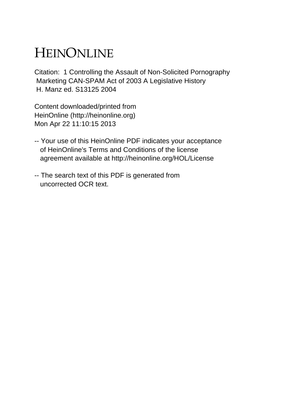# HEINONLINE

Citation: 1 Controlling the Assault of Non-Solicited Pornography Marketing CAN-SPAM Act of 2003 A Legislative History H. Manz ed. S13125 2004

Content downloaded/printed from HeinOnline (http://heinonline.org) Mon Apr 22 11:10:15 2013

- -- Your use of this HeinOnline PDF indicates your acceptance of HeinOnline's Terms and Conditions of the license agreement available at http://heinonline.org/HOL/License
- -- The search text of this PDF is generated from uncorrected OCR text.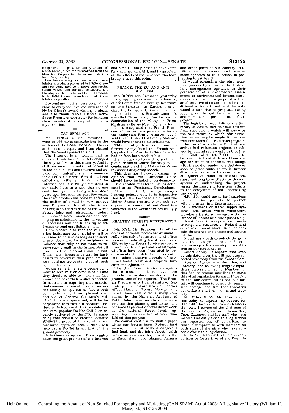r

an of engineering.<br>at of engineering.<br>Last, but certainly not least, versatile new **T** brought us to this point.

are now being used to improve commercial stean valves and furnace conveyors. Dr. Christopher Dellacorte and Brian Edmonds, both NASA Glenn researchers, made these<br>lubricants-possible.

I extend my most sincere congratulations to everyone involved with each of NASA Glenn's award-winning projects<br>and also thank NASA Glenn's Aeroand also thank NASA Glenn Space Frontiers newsletter for bringing<br>these wonderful accomplishments to wonderful accomplishments to **my** attention,

#### **CAN-** SPAM **ACT \_1**

Mr. **FEINGOLD.** Mr. President, **I** want to add my congratulations to the authors of the CAN-SPAM Act. This is an important topic, and **I** am pleased that the Senate passed this bill. The Internet is a medium that in

under a decade has completely changed the way we live in this country. And it still has enormous untapped potential to enrich our lives and improve and expand communications and commerce for all of our citizens. E-mail has been called the "killer application" of the Internet. and it is truly ubiquitous in our daily lives in a way that no one could have predicted only a few short years ago. But over the past few years. the span problem has come to threaten the utility of e-mail in very serious way. By passing this bill, the Senate has begun to address some of the worst abuses false and misleading headers and subject lines, fraudulent and pornographic solicitations, the harvesting addresses and the hijacking of addresses to send unsolicited e-mail.

am pleased also that the bill will allow legitimate commercial e-mail to continue to be sent as long as the sender provides a way **for** the recipients to indicate that they do not want to receive such e-mail In the future. Not all unsolicited commercial e-mail is bad-E-mail is an inexpensive way for businesses to advertise their products and we should not try to stamp out all such communications.

At the same time, some people don't want to receive such e-mails at all and they should be able to make that fact known and have their wishes respected. In addition to requiring that unsolicited commercial e-mail give consumers the ability to opt out of future such communications, I am pleased that portions of Senator SCHUMER's bill, which **I** have cosponsored, will be incorporated into this bill because I **be-**lieve a Do-Not-Email List, modeled on the very popular Do-Not-Call List **re-**cently activated **by** the FTC, is something that should **be** created. Senator **SCHuMER'S** proposal is a sensible and measured approach that *I* think will help get a Do-Not-Email List off the ground promptly.

It is time to stop spam from bogging down the great promise of the Internet

### FRANCE, THE **EU,** AND ANTI- SEMITISM

Mr. BIDEN. Mr. President, yesterday in my opening statement at a hearing of the Committee on Foreign Relations on anti-Semitism in Europe, I criticized the European Union for not having included in its Brussels summit's so-called "Presidency Conclusions" a denunciation of the Malaysian Prime<br>Minister's vile anti-Semitic remarks.

I also recognized that French President Chirac wrote a personal letter to the Malaysian Prime Minister, but I said that **I** doubted that many Muslims would have access to his criticisms.

This morning, however, I was in- formed by my friend the French Am-bassador that President Chirac's letter had, in fact, been made public.

I am happy to learn this. and **I** applaud President Chirac for his personal condemnation of the Malaysian Prime

Minister's disgusting speech.<br>This does not, however, change my<br>oninion that the European Union opinion that the European should have included a condemnation in the catalog of external issues delin-<br>eated in its "Presidency Conclusions." eated in its "Presidency Conclusions." Most importantly, as yesterday's hearing pointed out, it is imperative

that both the European Union and the United States resolutely and publicly oppose the cancer of anti-Semitism wherever in the world it raises its ugly head.

#### HEALTHY FORESTS RESTORATION ACT

Mr. KYL. Mr. President, **73** million acres of national forests are at unnatu-<br>rally high risk of catastrophic wildfires rally high risk of catastrophic wildfires because of unhealthy forest conditions. Efforts by the Forest Service to restore forest health and prevent catastrophic wildfires have been frustrated by quirements for detailed documentation, administrative appeals of proposed forest treatment projects, lawsuits and injunctions.

The U.S. Forest Service recognizes that it must be able to move more<br>quickly to achieve results on the quickly to achieve results on the ground. One of its reports, "The Proc**ess** Predicament- How Statutory, Regulatory, and Administrative Factors Affect National Forest Management. dated, June, 2002, cited a study con-ducted by the National Academy of Public Administration where it was es-Public Administration where it was estimated that planning and assessment consume 40 percent of total direct work at the national forest level, representing an expenditure of more than

**\$250 million per year.**<br>We cannot continue to shuffle paper<br>while our forests burn. Federal land while our forests burn. Federal land<br>management must address dangerous fuel loads and declining forest health before we can ever hope to stem the wildfires that have plagued Arizona

component life spans. Dr. Kathy Chuang of and e-mail. I am pleased to have voted and other parts of our country. H.R.<br>NASA Glenn joined representatives from the for this important bill, and I appreciate 1904 allows the Fed MASA Glenn joined representatives from the for this important bill, and I appreciate 1904 allows the Federal land manage-<br>Maverick Corporation to accomplish this all the efforts of the Senators who have ment agencies to ta Last, but also called a certain in protecting forest health.<br>It would streamline the administra-

tive process by allowing the Federal land management agencies, in their preparation of environmental assessments or environmental impact statements, to describe a proposed action, an alternative of no action, and one additional action alternative if the additional alternative is proposed during<br>scoping or the collaborative process and meets the purpose and need of the project.

The legislation would direct the Secretary of Agriculture to issue interim final regulations which will serve as the sole means **by** which administra-tive review may be sought for author-ized hazardous fuel reduction projects. It further directs that authorized haz-ardous fuel reduction projects be subject to judicial review only in U.S. Dis- trict Court where the Federal land to be treated is located. It would encour-<br>age the court to expedite proceedings age the court to expedite proceedings with the goal of rendering a decision as soon as practicable. It would further direct the court- in its consideration injunctive relief- to balance the short and long-term effects to the ecosystem of undertaking the project versus the short and long-term effects to the ecosystem of not undertaking

the project. H.R. 1904 would authorize hazardous fuel reduction projects to protect wildland-urban interface areas, municipal watersheds or water supply sys-tems. and areas where windthrow, blowdown, ice storm damage, or the existence of insects or disease poses a significant threat to ecosystems or forests or rangeland resources on Federal land<br>or adiacent non-Federal land, or contain threatened and endangered species habitat.

It outlines a path to unlock the gridlock that has precluded our Federal<br>land managers from moving forward to land managers from moving forward to protect our forest health. Unfortunately, it appears that even at this date, after the bill has been re-

ported favorably from the Senate Committee on Agriculture, Nutrition, and Forestry, and following lengthy bipar- tisan discussions, some Members of tisan discussions, some Members of<br>this Senate remain unwilling to move this vital legislation forward. If we fail to act. our communities and our forests will continue to be at risk from insect damage and fire that threatens our citizens and their homes and prop-

erty. Mr. CHAMBLISS. Mr. President, **<sup>I</sup>** rise today to express my support for H.R. 1904, the Healthy Forests Restora- tion Act. I commend the chairman of the Senate Agriculture Committee. THAD COCHRAN, and his staff who have worked tirelessly since this legislation was reported out of Committee to reach a compromise with members on reach a compromise with members on<br>both sides of the aisle who have con-

cerns about this legislation.<br>In the South forest fires pale in com-<br>parison to forest fires of the West. In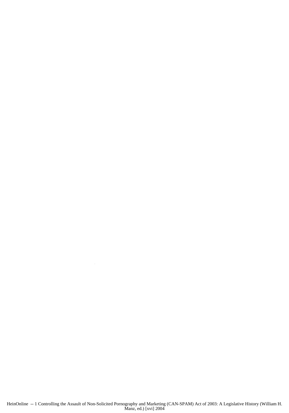HeinOnline -- 1 Controlling the Assault of Non-Solicited Pornography and Marketing (CAN-SPAM) Act of 2003: A Legislative History (William H. Manz, ed.) [xvi] 2004